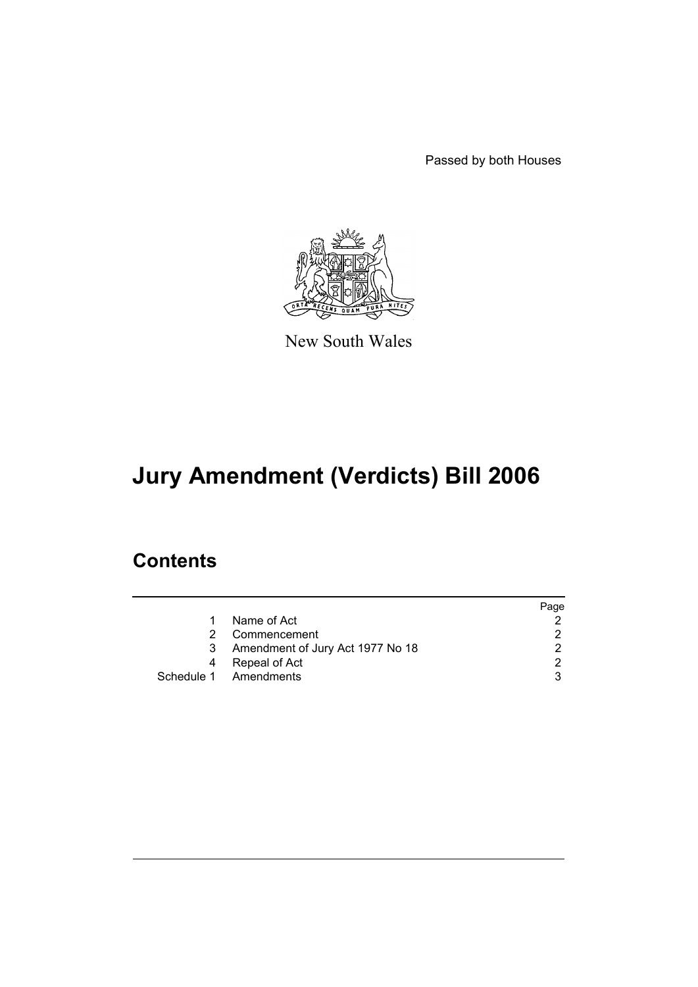Passed by both Houses



New South Wales

# **Jury Amendment (Verdicts) Bill 2006**

# **Contents**

|    |                                  | Page |
|----|----------------------------------|------|
| 1. | Name of Act                      |      |
| 2  | Commencement                     |      |
| 3  | Amendment of Jury Act 1977 No 18 |      |
| 4  | Repeal of Act                    | ◠    |
|    | Schedule 1 Amendments            |      |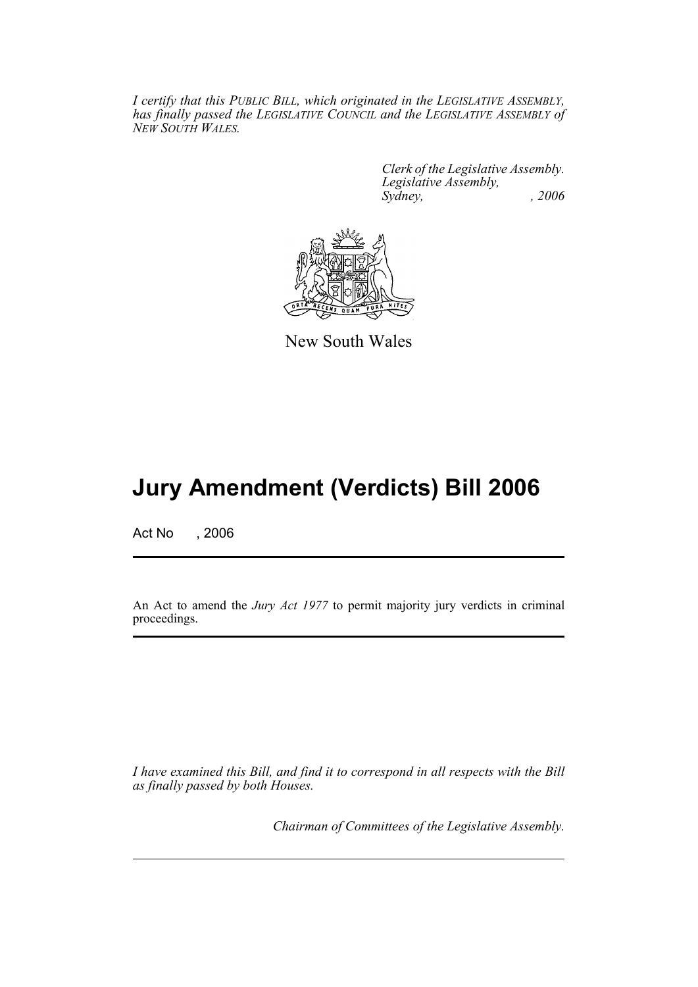*I certify that this PUBLIC BILL, which originated in the LEGISLATIVE ASSEMBLY, has finally passed the LEGISLATIVE COUNCIL and the LEGISLATIVE ASSEMBLY of NEW SOUTH WALES.*

> *Clerk of the Legislative Assembly. Legislative Assembly, Sydney, , 2006*



New South Wales

# **Jury Amendment (Verdicts) Bill 2006**

Act No , 2006

An Act to amend the *Jury Act 1977* to permit majority jury verdicts in criminal proceedings.

*I have examined this Bill, and find it to correspond in all respects with the Bill as finally passed by both Houses.*

*Chairman of Committees of the Legislative Assembly.*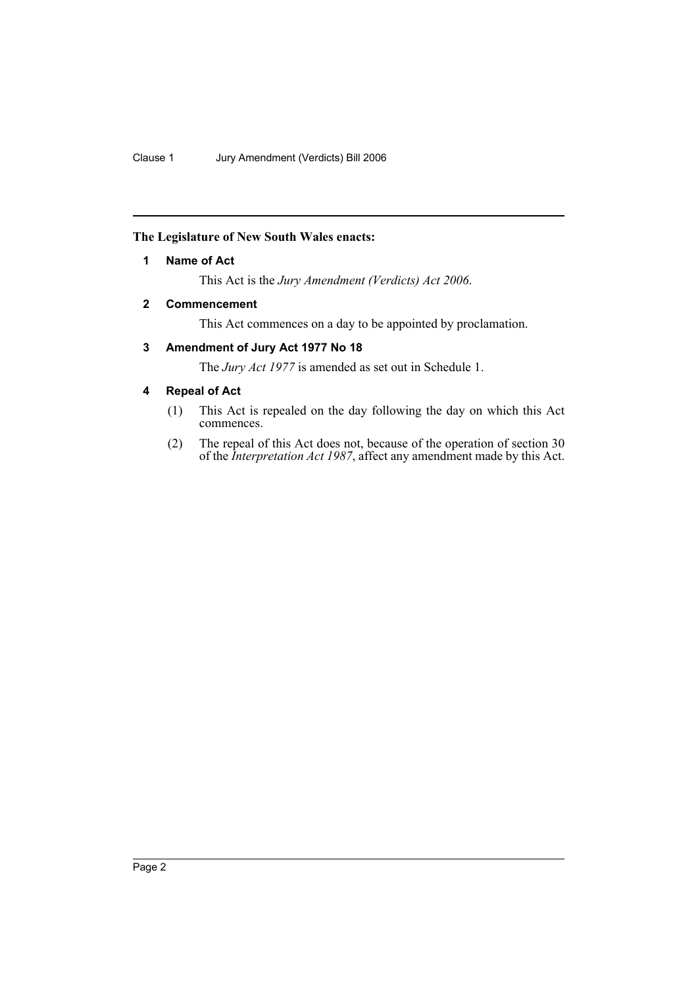## **The Legislature of New South Wales enacts:**

# **1 Name of Act**

This Act is the *Jury Amendment (Verdicts) Act 2006*.

# **2 Commencement**

This Act commences on a day to be appointed by proclamation.

# **3 Amendment of Jury Act 1977 No 18**

The *Jury Act 1977* is amended as set out in Schedule 1.

# **4 Repeal of Act**

- (1) This Act is repealed on the day following the day on which this Act commences.
- (2) The repeal of this Act does not, because of the operation of section 30 of the *Interpretation Act 1987*, affect any amendment made by this Act.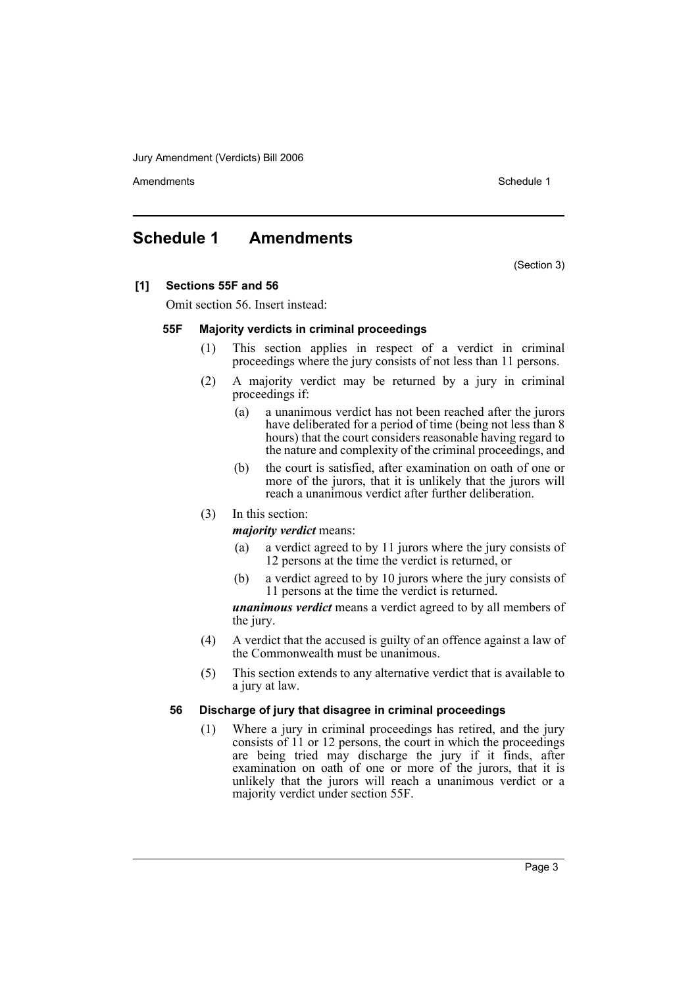Jury Amendment (Verdicts) Bill 2006

Amendments **Schedule 1** and the set of the set of the set of the set of the set of the set of the set of the set of the set of the set of the set of the set of the set of the set of the set of the set of the set of the set

# **Schedule 1 Amendments**

(Section 3)

### **[1] Sections 55F and 56**

Omit section 56. Insert instead:

#### **55F Majority verdicts in criminal proceedings**

- (1) This section applies in respect of a verdict in criminal proceedings where the jury consists of not less than 11 persons.
- (2) A majority verdict may be returned by a jury in criminal proceedings if:
	- (a) a unanimous verdict has not been reached after the jurors have deliberated for a period of time (being not less than 8 hours) that the court considers reasonable having regard to the nature and complexity of the criminal proceedings, and
	- (b) the court is satisfied, after examination on oath of one or more of the jurors, that it is unlikely that the jurors will reach a unanimous verdict after further deliberation.

### (3) In this section:

*majority verdict* means:

- (a) a verdict agreed to by 11 jurors where the jury consists of 12 persons at the time the verdict is returned, or
- (b) a verdict agreed to by 10 jurors where the jury consists of 11 persons at the time the verdict is returned.

*unanimous verdict* means a verdict agreed to by all members of the jury.

- (4) A verdict that the accused is guilty of an offence against a law of the Commonwealth must be unanimous.
- (5) This section extends to any alternative verdict that is available to a jury at law.

### **56 Discharge of jury that disagree in criminal proceedings**

(1) Where a jury in criminal proceedings has retired, and the jury consists of 11 or 12 persons, the court in which the proceedings are being tried may discharge the jury if it finds, after examination on oath of one or more of the jurors, that it is unlikely that the jurors will reach a unanimous verdict or a majority verdict under section 55F.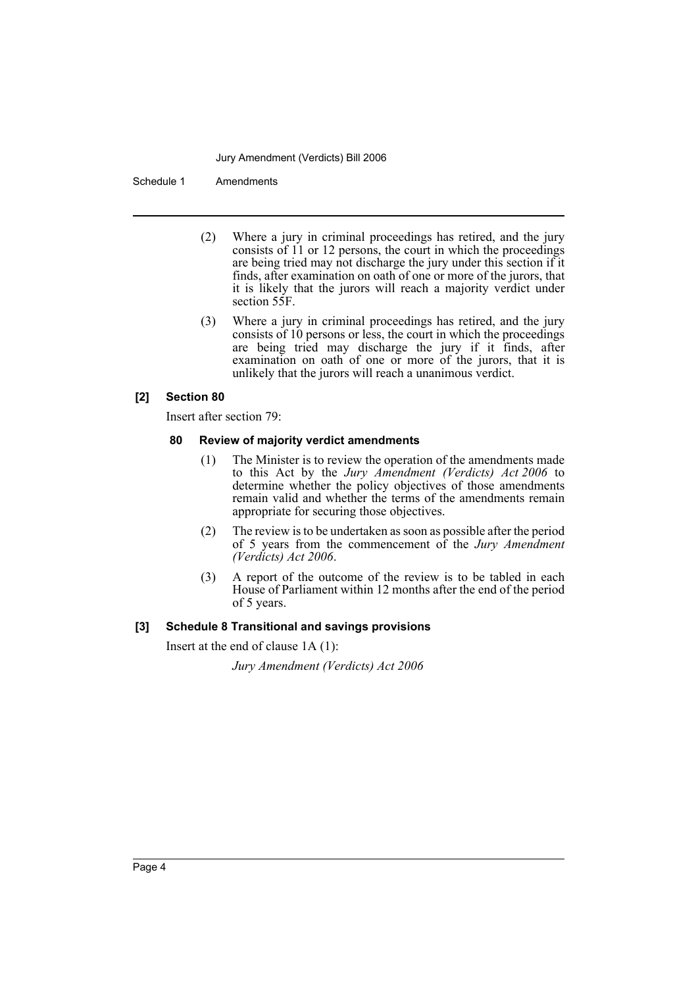#### Jury Amendment (Verdicts) Bill 2006

Schedule 1 Amendments

- (2) Where a jury in criminal proceedings has retired, and the jury consists of 11 or 12 persons, the court in which the proceedings are being tried may not discharge the jury under this section if it finds, after examination on oath of one or more of the jurors, that it is likely that the jurors will reach a majority verdict under section 55F.
- (3) Where a jury in criminal proceedings has retired, and the jury consists of 10 persons or less, the court in which the proceedings are being tried may discharge the jury if it finds, after examination on oath of one or more of the jurors, that it is unlikely that the jurors will reach a unanimous verdict.

#### **[2] Section 80**

Insert after section 79:

#### **80 Review of majority verdict amendments**

- (1) The Minister is to review the operation of the amendments made to this Act by the *Jury Amendment (Verdicts) Act 2006* to determine whether the policy objectives of those amendments remain valid and whether the terms of the amendments remain appropriate for securing those objectives.
- (2) The review is to be undertaken as soon as possible after the period of 5 years from the commencement of the *Jury Amendment (Verdicts) Act 2006*.
- (3) A report of the outcome of the review is to be tabled in each House of Parliament within 12 months after the end of the period of 5 years.

# **[3] Schedule 8 Transitional and savings provisions**

Insert at the end of clause 1A (1):

*Jury Amendment (Verdicts) Act 2006*